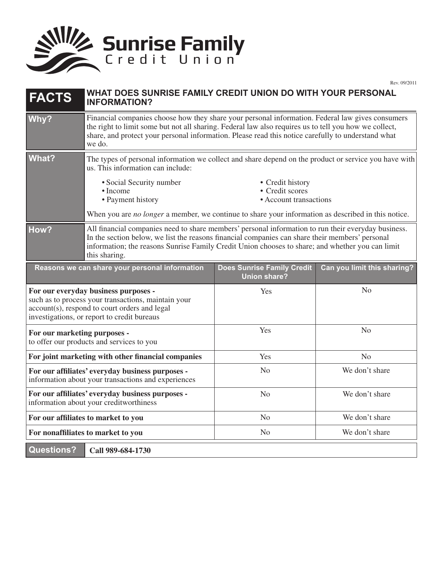

Rev. 09/2011

| <b>FACTS</b>                                                                                                                                                                                | WHAT DOES SUNRISE FAMILY CREDIT UNION DO WITH YOUR PERSONAL<br><b>INFORMATION?</b>                                                                                                                                                                                                                                          |                                                               |                             |
|---------------------------------------------------------------------------------------------------------------------------------------------------------------------------------------------|-----------------------------------------------------------------------------------------------------------------------------------------------------------------------------------------------------------------------------------------------------------------------------------------------------------------------------|---------------------------------------------------------------|-----------------------------|
| Why?                                                                                                                                                                                        | Financial companies choose how they share your personal information. Federal law gives consumers<br>the right to limit some but not all sharing. Federal law also requires us to tell you how we collect,<br>share, and protect your personal information. Please read this notice carefully to understand what<br>we do.   |                                                               |                             |
| <b>What?</b>                                                                                                                                                                                | The types of personal information we collect and share depend on the product or service you have with<br>us. This information can include:                                                                                                                                                                                  |                                                               |                             |
|                                                                                                                                                                                             | • Social Security number<br>• Income<br>• Payment history                                                                                                                                                                                                                                                                   | • Credit history<br>• Credit scores<br>• Account transactions |                             |
|                                                                                                                                                                                             | When you are no longer a member, we continue to share your information as described in this notice.                                                                                                                                                                                                                         |                                                               |                             |
| How?                                                                                                                                                                                        | All financial companies need to share members' personal information to run their everyday business.<br>In the section below, we list the reasons financial companies can share their members' personal<br>information; the reasons Sunrise Family Credit Union chooses to share; and whether you can limit<br>this sharing. |                                                               |                             |
| Reasons we can share your personal information                                                                                                                                              |                                                                                                                                                                                                                                                                                                                             | <b>Does Sunrise Family Credit</b><br><b>Union share?</b>      | Can you limit this sharing? |
| For our everyday business purposes -<br>such as to process your transactions, maintain your<br>account(s), respond to court orders and legal<br>investigations, or report to credit bureaus |                                                                                                                                                                                                                                                                                                                             | Yes                                                           | N <sub>o</sub>              |
| For our marketing purposes -<br>to offer our products and services to you                                                                                                                   |                                                                                                                                                                                                                                                                                                                             | Yes                                                           | N <sub>o</sub>              |
| For joint marketing with other financial companies                                                                                                                                          |                                                                                                                                                                                                                                                                                                                             | Yes                                                           | N <sub>o</sub>              |
| For our affiliates' everyday business purposes -<br>information about your transactions and experiences                                                                                     |                                                                                                                                                                                                                                                                                                                             | N <sub>o</sub>                                                | We don't share              |
| For our affiliates' everyday business purposes -<br>information about your creditworthiness                                                                                                 |                                                                                                                                                                                                                                                                                                                             | N <sub>o</sub>                                                | We don't share              |
| For our affiliates to market to you                                                                                                                                                         |                                                                                                                                                                                                                                                                                                                             | N <sub>o</sub>                                                | We don't share              |
| For nonaffiliates to market to you                                                                                                                                                          |                                                                                                                                                                                                                                                                                                                             | N <sub>o</sub>                                                | We don't share              |
| <b>Questions?</b>                                                                                                                                                                           | Call 989-684-1730                                                                                                                                                                                                                                                                                                           |                                                               |                             |